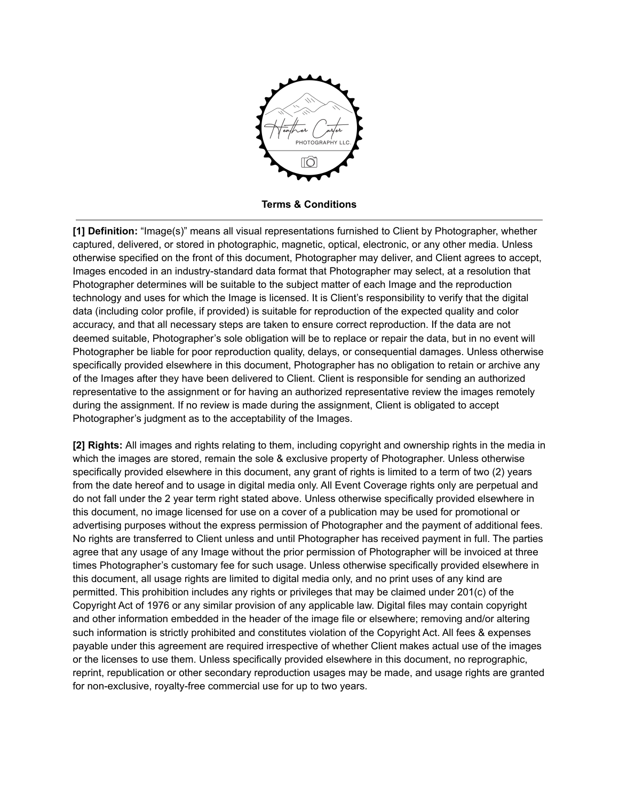

**Terms & Conditions**

**[1] Definition:** "Image(s)" means all visual representations furnished to Client by Photographer, whether captured, delivered, or stored in photographic, magnetic, optical, electronic, or any other media. Unless otherwise specified on the front of this document, Photographer may deliver, and Client agrees to accept, Images encoded in an industry-standard data format that Photographer may select, at a resolution that Photographer determines will be suitable to the subject matter of each Image and the reproduction technology and uses for which the Image is licensed. It is Client's responsibility to verify that the digital data (including color profile, if provided) is suitable for reproduction of the expected quality and color accuracy, and that all necessary steps are taken to ensure correct reproduction. If the data are not deemed suitable, Photographer's sole obligation will be to replace or repair the data, but in no event will Photographer be liable for poor reproduction quality, delays, or consequential damages. Unless otherwise specifically provided elsewhere in this document, Photographer has no obligation to retain or archive any of the Images after they have been delivered to Client. Client is responsible for sending an authorized representative to the assignment or for having an authorized representative review the images remotely during the assignment. If no review is made during the assignment, Client is obligated to accept Photographer's judgment as to the acceptability of the Images.

**[2] Rights:** All images and rights relating to them, including copyright and ownership rights in the media in which the images are stored, remain the sole & exclusive property of Photographer. Unless otherwise specifically provided elsewhere in this document, any grant of rights is limited to a term of two (2) years from the date hereof and to usage in digital media only. All Event Coverage rights only are perpetual and do not fall under the 2 year term right stated above. Unless otherwise specifically provided elsewhere in this document, no image licensed for use on a cover of a publication may be used for promotional or advertising purposes without the express permission of Photographer and the payment of additional fees. No rights are transferred to Client unless and until Photographer has received payment in full. The parties agree that any usage of any Image without the prior permission of Photographer will be invoiced at three times Photographer's customary fee for such usage. Unless otherwise specifically provided elsewhere in this document, all usage rights are limited to digital media only, and no print uses of any kind are permitted. This prohibition includes any rights or privileges that may be claimed under 201(c) of the Copyright Act of 1976 or any similar provision of any applicable law. Digital files may contain copyright and other information embedded in the header of the image file or elsewhere; removing and/or altering such information is strictly prohibited and constitutes violation of the Copyright Act. All fees & expenses payable under this agreement are required irrespective of whether Client makes actual use of the images or the licenses to use them. Unless specifically provided elsewhere in this document, no reprographic, reprint, republication or other secondary reproduction usages may be made, and usage rights are granted for non-exclusive, royalty-free commercial use for up to two years.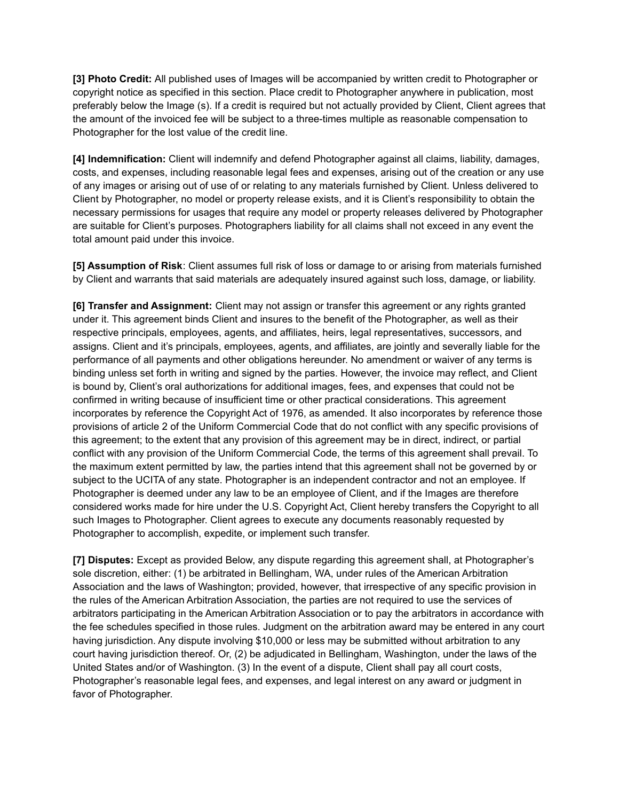**[3] Photo Credit:** All published uses of Images will be accompanied by written credit to Photographer or copyright notice as specified in this section. Place credit to Photographer anywhere in publication, most preferably below the Image (s). If a credit is required but not actually provided by Client, Client agrees that the amount of the invoiced fee will be subject to a three-times multiple as reasonable compensation to Photographer for the lost value of the credit line.

**[4] Indemnification:** Client will indemnify and defend Photographer against all claims, liability, damages, costs, and expenses, including reasonable legal fees and expenses, arising out of the creation or any use of any images or arising out of use of or relating to any materials furnished by Client. Unless delivered to Client by Photographer, no model or property release exists, and it is Client's responsibility to obtain the necessary permissions for usages that require any model or property releases delivered by Photographer are suitable for Client's purposes. Photographers liability for all claims shall not exceed in any event the total amount paid under this invoice.

**[5] Assumption of Risk**: Client assumes full risk of loss or damage to or arising from materials furnished by Client and warrants that said materials are adequately insured against such loss, damage, or liability.

**[6] Transfer and Assignment:** Client may not assign or transfer this agreement or any rights granted under it. This agreement binds Client and insures to the benefit of the Photographer, as well as their respective principals, employees, agents, and affiliates, heirs, legal representatives, successors, and assigns. Client and it's principals, employees, agents, and affiliates, are jointly and severally liable for the performance of all payments and other obligations hereunder. No amendment or waiver of any terms is binding unless set forth in writing and signed by the parties. However, the invoice may reflect, and Client is bound by, Client's oral authorizations for additional images, fees, and expenses that could not be confirmed in writing because of insufficient time or other practical considerations. This agreement incorporates by reference the Copyright Act of 1976, as amended. It also incorporates by reference those provisions of article 2 of the Uniform Commercial Code that do not conflict with any specific provisions of this agreement; to the extent that any provision of this agreement may be in direct, indirect, or partial conflict with any provision of the Uniform Commercial Code, the terms of this agreement shall prevail. To the maximum extent permitted by law, the parties intend that this agreement shall not be governed by or subject to the UCITA of any state. Photographer is an independent contractor and not an employee. If Photographer is deemed under any law to be an employee of Client, and if the Images are therefore considered works made for hire under the U.S. Copyright Act, Client hereby transfers the Copyright to all such Images to Photographer. Client agrees to execute any documents reasonably requested by Photographer to accomplish, expedite, or implement such transfer.

**[7] Disputes:** Except as provided Below, any dispute regarding this agreement shall, at Photographer's sole discretion, either: (1) be arbitrated in Bellingham, WA, under rules of the American Arbitration Association and the laws of Washington; provided, however, that irrespective of any specific provision in the rules of the American Arbitration Association, the parties are not required to use the services of arbitrators participating in the American Arbitration Association or to pay the arbitrators in accordance with the fee schedules specified in those rules. Judgment on the arbitration award may be entered in any court having jurisdiction. Any dispute involving \$10,000 or less may be submitted without arbitration to any court having jurisdiction thereof. Or, (2) be adjudicated in Bellingham, Washington, under the laws of the United States and/or of Washington. (3) In the event of a dispute, Client shall pay all court costs, Photographer's reasonable legal fees, and expenses, and legal interest on any award or judgment in favor of Photographer.